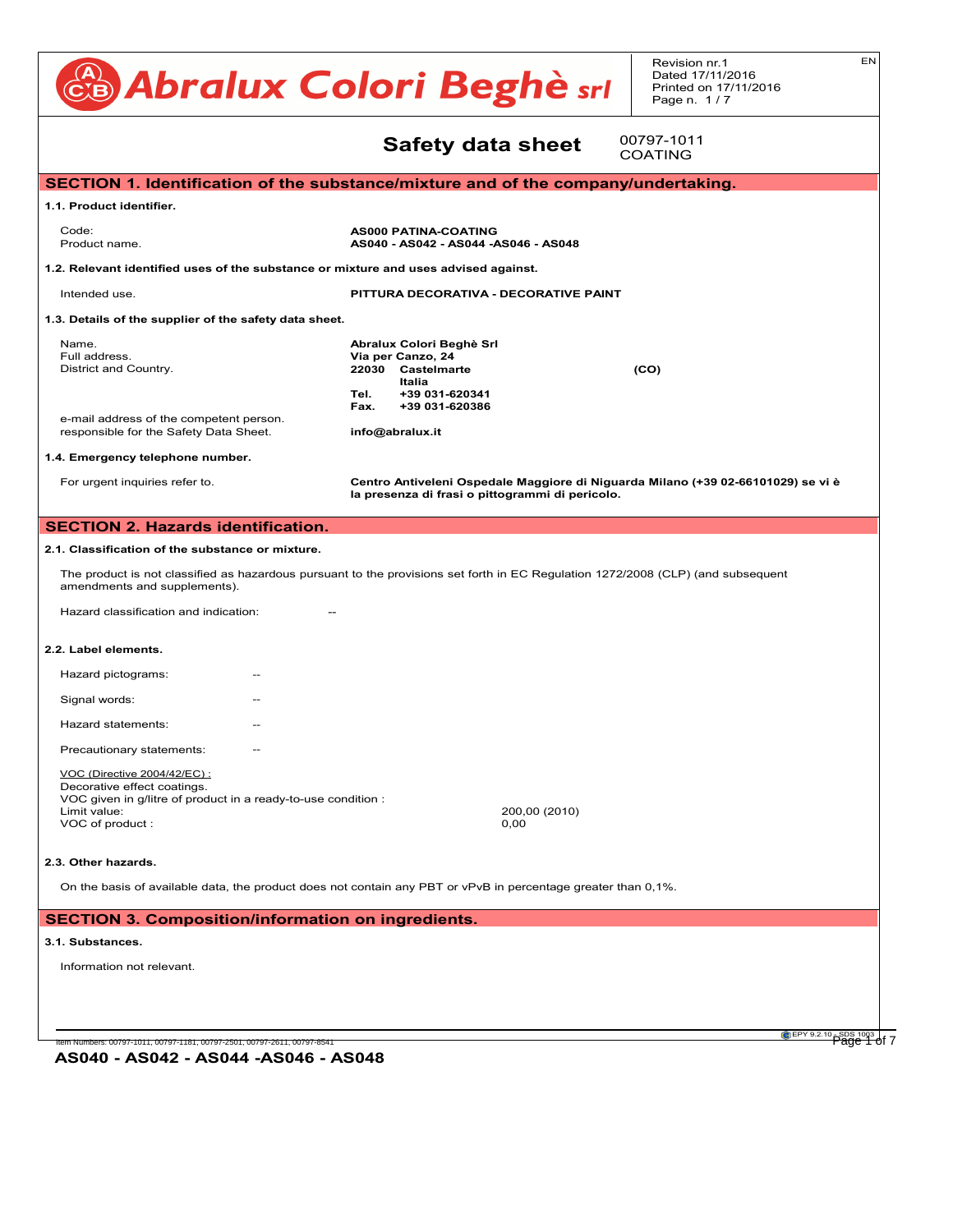#### CB Abralux Colori Beghè sri Revision nr.1 Dated 17/11/2016 Printed on 17/11/2016 Page n. 1/7 EN **7.2. Conditions for safety data sheet** SECTION 1. Identification of the substance/mixture and of the company/undertaking. **1.1. Product identifier. AS000 PATINA-COATING**<br>There are no particular risks of the risks of the risks of the substances in normal conditions of use. Product name. **AS040 - AS042 - AS044 -AS046 - AS048** 1.2. Relevant identified uses of the substance or mixture and uses advised against. Intended use. **Example 20 and Secure 20 and Secure 20 and Second 20 and Second 20 and Second 20 and 20 and 20 and 20 and 20 and 20 and 20 and 20 and 20 and 20 and 20 and 20 and 20 and 20 and 20 and 20 and 20 and 20 and 20** 1.3. Details of the supplier of the safety data sheet. **Mame. Abralux Colori Beghè Srl Abralux Colori Beghè Srl** Full address. **Via per Canzo, 24** District and Country. **22030** Castelmarte **(CO)**<br> **Partion** on the product are unknown. **Italia Tel. +39 031-620341** For symptoms and effects caused by the contained substances, see chap. 11. On the basis of available data, the product does not contain any SVHC in percentage greater than 0,1%. **Fax. +39 031-620386** e-mail address of the competent person.<br>e-mail address of the competent person. e-mail address of the competent person.<br> **responsible for the Safety Data Sheet. info@abralux.it** 1.4. Emergency telephone number.<br> For urgent inquiries refer to. **Exercise 2 Centro Antiveleni Ospedale Maggiore di Niguarda Milano (+39 02-66101029) se vi è** la presenza di frasi o pittogrammi di pericolo. **SECTION 2. Hazards identification.** 2.1. Classification of the substance or mixture. The product is not classified as hazardous pursuant to the provisions set forth in EC Regulation 1272/2008 (CLP) (and subsequent amendments and supplements). Hazard classification and indication: The and properties. **2.2. Label elements. Hazard pictograms:** The state of the state of the state of the state of the state of the state of the state of the state of the state of the state of the state of the state of the state of the state of the state of the st Signal words: The Communication of the Communication of the Communication of the Communication of the Communication of the Communication of the Communication of the Communication of the Communication of the Communication o Hazard statements: -- **6.1. Personal precautions, protective equipment and emergency procedures.** Initial boiling point. Not available. LC50 (Inhalation - vapours) of the mixture: Not classified (no significant component). **SECTION 16. Other information.** Precautionary statements: The same of the safety equipment referred to under Section 8 of the safety data sheet VOC (Directive 2004/42/EC) : **CORROGION COONSTRAMMADILITY**<br>Decorative effect coatings. Decorative enect coatings.<br>VOC given in g/litre of product in a ready-to-use condition : Limit value: 200,00 (2010) The product must not penetrate into the sewer system or come into contact with surface water or ground water. Limit value.<br>VOC of product : 0,00 2.3. Other hazards. On the basis of available data, the product does not contain any PBT or vPvB in percentage greater than 0,1%. **SECTION 3. Composition/information on ingredients. 3.1. Substances.** Information not relevant. **SECTION 3. Composition/information on ingredients.** ... / >>  $E$ CTION 1. Identification of the substance/mixture and of the company/undertaking.  $\blacksquare$ **4.1. Description of first aid measures.** medical advice/attention. **8.1. Control parameters.** Interided dse.  $\blacksquare$  explicitly as  $\blacksquare$  and  $\blacksquare$  and  $\blacksquare$  and  $\blacksquare$  induce  $\blacksquare$  induce  $\blacksquare$  induce  $\blacksquare$  induce  $\blacksquare$  induce  $\blacksquare$  induce  $\blacksquare$  induce  $\blacksquare$  induce  $\blacksquare$  induce  $\blacksquare$  induce  $\blacksquare$  induc **1.3. Details of the supplier of the safety data sheet. 4.2. Most important symptoms and the symptoms and delayed.**<br>HAND PROTECTS, and delayed and delayed and delayed and delayed and delayed and delayed and delayed and delayed **5.1. Extinguishing media.** ECTION 2. Hazards identification. And the control of the control of the control of the control of the control o  $\mathcal{L}$  fighting i.e. fighting i.e. fighting i.e. fighting  $\mathcal{L}$  and  $\mathcal{L}$  and  $\mathcal{L}$  and  $\mathcal{L}$  and  $\mathcal{L}$  and  $\mathcal{L}$  and  $\mathcal{L}$  and  $\mathcal{L}$  and  $\mathcal{L}$  and  $\mathcal{L}$  and  $\mathcal{L}$  and  $\mathcal{L}$  and  $\mathcal{$ self-contained operators pressure contained air breathing and breathing air breathing and breathing and the second breathing and the second and the second breathing and breathing and breathing and the second breathing and **SECTION 6. Accidental release measures.** any contamination of skin, eyes and personal clothing. These indications apply for both processing staff and those involved in emergency **7. Handling and storage.** ... / >> Store only in the original container. Store in a ventilated and dry place, far away from sources of ignition. Keep containers well sealed. Keep the in clearly labelled containers. Avoid overheating. Avoid violent blows. Keep containers away from any incompatible materials, see **ECTION 1. Iden SECTION 8. EXPOSURE CONTROLS AND ASSAULT AND ASSAULT AND ASSAULT AND RESPONSI**NG SECTION. Intended use. Native measures usually with the safety measures usually applied when handling chemical substances.<br>Euli oddross District and CO responsible for the Safety Data Sheet. . Emergency telephone number.<br>. Portugent inquiries relet to. The technical must be used if the technical measures adopted are not suitable for<br>Parameter's exposition of the worker's exposure to the worker's exposure to the worker's exposure to the worke If the substance considered is odourless or its oldatory threshold is higher than the corresponding TLV-TWA and in the case of and in the case of and in the case of and in the case of and in the case of and in the case of apparatus (in compliance with standard EN 138). For a correct choice of respiratory protection device, see sta The emissions generated by manufacturing processes, including those generated by ventilation equipment, showled The product is not classified as hazardous Colour Bianco + Times and the Times and the Times and the Times and the Times and the Times and the Times and Times and Times and Times and Times and Times and Times and Times and Times and Times and Times and Times and Ti Hazard pictograms. Not available thresholders are the set of the set of the set of the set of the set of the set of the set of the set of the set of the set of the set of the set of the set of the set of the set of the set  $\mathcal{S}$ griai words. Not available point  $\mathcal{S}$  $B$ diable. Not available. Not available.  $B$ Precadulonally statements.  $\blacksquare$ voo given in gritte or product in a ready-to-use condition .<br>Limit value:  $\sqrt{v}$  or product. Solution in the solution of the solution of the solution of the solution of the solution of the solution of the solution of the solution of the solution of the solution of the solution of the solution of the solution of th On the basis of available data, the product does not contain any PE Decomposition temperature. Not available. Explosive properties Not available. **SECTION 10. Stability and reactivity.** Product name. Decomposes at temperatures above 800°C/1472°F.  $\theta$ . Detaile of the ounnlier of the eafsty date aheat. **10.3. Possibility of hazardous reactions.** no hazardous reactions are forest the total conditions are forest the storage. The storage of use and storage <br>District and Counter 1.4. Emergency telephone number. **10.5. Incompatible materials.** Incompatible with: strong acids,ammonia,zinc,lead,aluminium,water,flammable liquids. CALCIUM CARBONATE .<br>**2.1. Classification of the substance or** mixture. Hazard classification and indication:  $L$ ation - mists  $\sim$  misture:  $\sim$  misture:  $\sim$   $\sim$  component component component component component component component component component component component component component component component component compon LD50 (Oral) of the mixture: Not classified (no significant component). Precautionary statements: The International Maritime Dangerous Goods Code (IMDG), and of the International Air Transport Air Transport Association (IATA) regulations. Decorative enect coatings.<br>VOC given in g/litre of product in a ready-to-use condition : Limit value.<br>VOC of product : **14.2. UN proper shipping name.**<br> **14.2. UN proper shipping name.** Does not meet the case of the case of the case of the case of the case of the case of the case of the case of the case of the case of the case of the case of the case of the case of the case of the case of the case of the Does not meet the classification criteria for this hazard class. CARCINOGENICITY. . Substances. **11. Toxicological information.** ... / >> Does not meet the classification criteria for this hazard class. STOT - REPEATED - REPEATED - REPEATED - REPEATED - REPEATED - REPEATED - REPEATED - REPEATED - REPEATED - REPEATED - REPEATED - REPEATED - REPEATED - REPEATED - REPEATED - REPEATED - REPEATED - REPEATED - REPEATED - REPEAT **ECTION 1. Identification of the substance 12. Ecological information.** ). Relevant identified uses of the substance or mixture and uses advised against. Name Iname.<br>Euli address **12030 Castelm**<br>1. **Persistence and Country. 1** of argent inquiries refer to: On the basis of available data, the product does not contain any PBT or vPvB in percentage greater than 0,1%. The product is not classified as hazardous pursuant to the provisions set forth in EC Regulation 1272/ Disposal must be performed through an authorised waste management firm, in compliance with national and local regulations.  $\blacksquare$ Contaminated or disposed or  $\blacksquare$  in compliance with national waste management regulations. **SECTION 14. Transport information. 14.5. Environmental hazards. 14. Transport information.** ... / >> Not applicable. - TLV CEILING: Concentration that should not be exceeded during any time of occupational exposure. **14.7. Transport in bulk according to Annex II of Marpol and the IBC Code. 15. Regulatory information.** estrictions relations relations relations pures pursuant to Annex XVII to European Parliament to European Parl<br>Abraham Parliament (EU) estrelle pursuant relation 1907/2012 (IIII Atlantic Parliament Parliament Parliament P None. - ECHA website **15.2. Chemical safety assessment.**  $N_{\text{max}}$  safety assessment has been processed for the mixture and the substances it contains. Limit value: <u>ECTION 3. Composition</u> . Outstances. - PEC: PEC: PEC: PREDICTED ENVIRONMENTAL CONCENTRATION PROPERTY. **16. Other information.** ... / >> **ECTION 1. Identification of**  $\overline{\phantom{a}}$  , the maximum exposure limit exposure limit  $\overline{\phantom{a}}$ . Product identifier. - WGK: Water hazard classes (German). . Details of the supplier of the safety data sheet.  $\,$ 9. Regulation (EU) 605/2014 (VI Atp. CLP) of the European Parliament - The Merck Index. - 10th Edition e-mail address of the comp suitability and thoroughness of provided information according to each specific use of the product. 00797-1011 COATING

**AS040 - AS042 - AS044 -AS046 - AS048**

Item Numbers: 00797-1011, 00797-1181, 00797-2501, 00797-2611, 00797-8541 Page 1 of 7

EPY 9.2.10 SDS 1003 of 7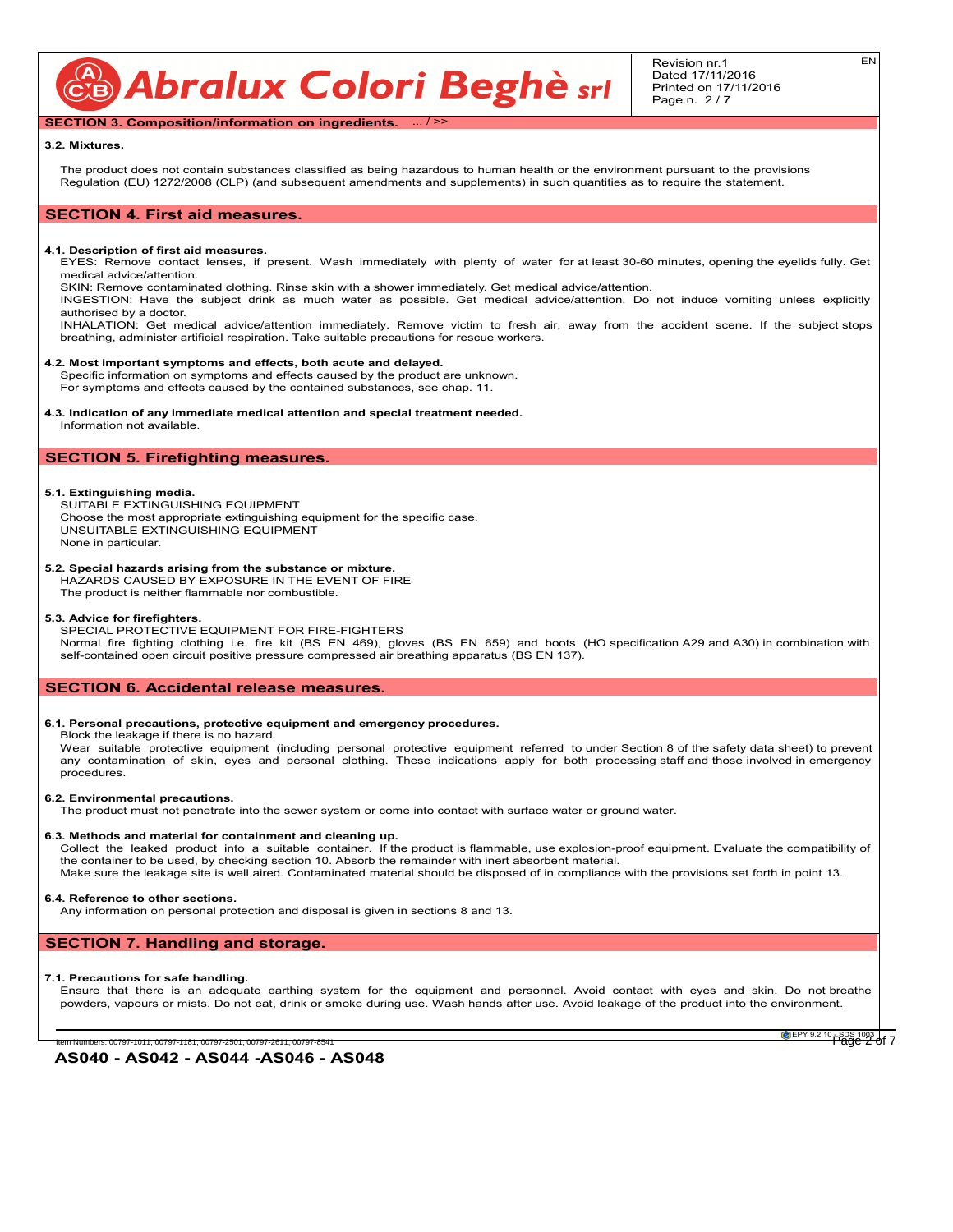CB Abralux Colori Beghè sri

EN

### **SECTION 3. Composition/information on ingredients.** ... / >>

#### **3.2. Mixtures.**

The product does not contain substances classified as being hazardous to human health or the environment pursuant to the provisions Regulation (EU) 1272/2008 (CLP) (and subsequent amendments and supplements) in such quantities as to require the statement.

# **SECTION 4. First aid measures.**

#### **4.1. Description of first aid measures.**

EYES: Remove contact lenses, if present. Wash immediately with plenty of water for at least 30-60 minutes, opening the eyelids fully. Get medical advice/attention.

SKIN: Remove contaminated clothing. Rinse skin with a shower immediately. Get medical advice/attention.

INGESTION: Have the subject drink as much water as possible. Get medical advice/attention. Do not induce vomiting unless explicitly authorised by a doctor.

INHALATION: Get medical advice/attention immediately. Remove victim to fresh air, away from the accident scene. If the subject stops breathing, administer artificial respiration. Take suitable precautions for rescue workers.

#### **4.2. Most important symptoms and effects, both acute and delayed.**

Specific information on symptoms and effects caused by the product are unknown. For symptoms and effects caused by the contained substances, see chap. 11.

#### **4.3. Indication of any immediate medical attention and special treatment needed.**

Information not available.

# **SECTION 5. Firefighting measures.**

#### **5.1. Extinguishing media.**

SUITABLE EXTINGUISHING EQUIPMENT Choose the most appropriate extinguishing equipment for the specific case. UNSUITABLE EXTINGUISHING EQUIPMENT None in particular.

#### **5.2. Special hazards arising from the substance or mixture.**

HAZARDS CAUSED BY EXPOSURE IN THE EVENT OF FIRE

The product is neither flammable nor combustible.

#### **5.3. Advice for firefighters.**

SPECIAL PROTECTIVE EQUIPMENT FOR FIRE-FIGHTERS Normal fire fighting clothing i.e. fire kit (BS EN 469), gloves (BS EN 659) and boots (HO specification A29 and A30) in combination with self-contained open circuit positive pressure compressed air breathing apparatus (BS EN 137).

## **SECTION 6. Accidental release measures.**

#### **6.1. Personal precautions, protective equipment and emergency procedures.**

Block the leakage if there is no hazard.

Wear suitable protective equipment (including personal protective equipment referred to under Section 8 of the safety data sheet) to prevent any contamination of skin, eyes and personal clothing. These indications apply for both processing staff and those involved in emergency procedures.

#### **6.2. Environmental precautions.**

The product must not penetrate into the sewer system or come into contact with surface water or ground water.

#### **6.3. Methods and material for containment and cleaning up.**

Collect the leaked product into a suitable container. If the product is flammable, use explosion-proof equipment. Evaluate the compatibility of the container to be used, by checking section 10. Absorb the remainder with inert absorbent material. Make sure the leakage site is well aired. Contaminated material should be disposed of in compliance with the provisions set forth in point 13.

# **6.4. Reference to other sections.**

Any information on personal protection and disposal is given in sections 8 and 13.

## **SECTION 7. Handling and storage.**

#### **7.1. Precautions for safe handling.**

Ensure that there is an adequate earthing system for the equipment and personnel. Avoid contact with eyes and skin. Do not breathe powders, vapours or mists. Do not eat, drink or smoke during use. Wash hands after use. Avoid leakage of the product into the environment.

**AS040 - AS042 - AS044 -AS046 - AS048**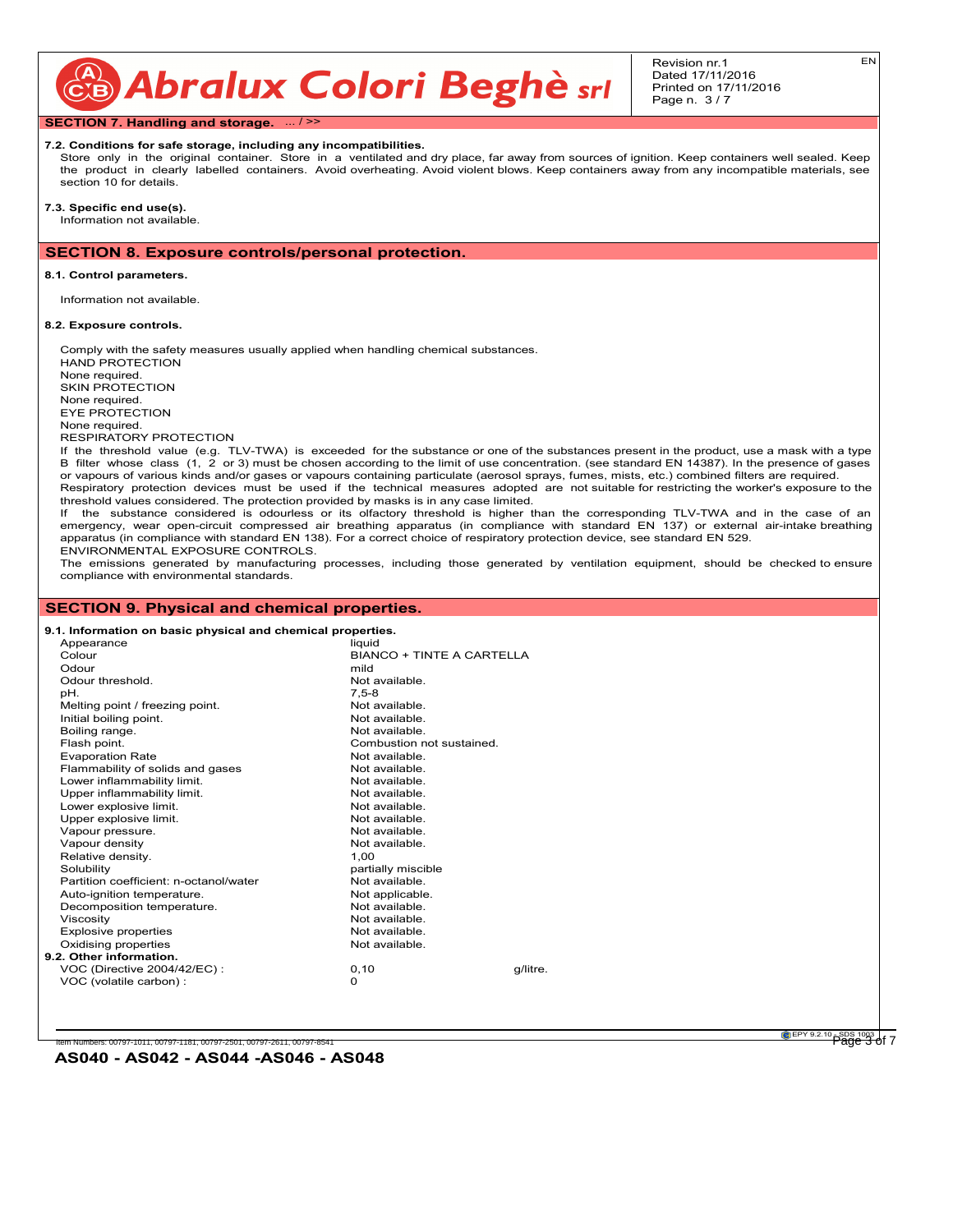CB Abralux Colori Beghè sri

Revision nr.1 Dated 17/11/2016 Printed on 17/11/2016 Page n. 3 / 7

**SECTION 7. Handling and storage.** ... / >>

#### **7.2. Conditions for safe storage, including any incompatibilities.**

Store only in the original container. Store in a ventilated and dry place, far away from sources of ignition. Keep containers well sealed. Keep the product in clearly labelled containers. Avoid overheating. Avoid violent blows. Keep containers away from any incompatible materials, see section 10 for details.

**7.3. Specific end use(s).** Information not available.

## **SECTION 8. Exposure controls/personal protection.**

#### **8.1. Control parameters.**

Information not available.

#### **8.2. Exposure controls.**

Comply with the safety measures usually applied when handling chemical substances. HAND PROTECTION None required. SKIN PROTECTION None required. EYE PROTECTION None required. RESPIRATORY PROTECTION If the threshold value (e.g. TLV-TWA) is exceeded for the substance or one of the substances present in the product, use a mask with a type B filter whose class (1, 2 or 3) must be chosen according to the limit of use concentration. (see standard EN 14387). In the presence of gases or vapours of various kinds and/or gases or vapours containing particulate (aerosol sprays, fumes, mists, etc.) combined filters are required. Respiratory protection devices must be used if the technical measures adopted are not suitable for restricting the worker's exposure to the threshold values considered. The protection provided by masks is in any case limited. If the substance considered is odourless or its olfactory threshold is higher than the corresponding TLV-TWA and in the case of an emergency, wear open-circuit compressed air breathing apparatus (in compliance with standard EN 137) or external air-intake breathing apparatus (in compliance with standard EN 138). For a correct choice of respiratory protection device, see standard EN 529.

ENVIRONMENTAL EXPOSURE CONTROLS. The emissions generated by manufacturing processes, including those generated by ventilation equipment, should be checked to ensure compliance with environmental standards.

# **SECTION 9. Physical and chemical properties.**

| 9.1. Information on basic physical and chemical properties. |                                                                                                            |                         |          |
|-------------------------------------------------------------|------------------------------------------------------------------------------------------------------------|-------------------------|----------|
| Appearance                                                  | liquid                                                                                                     |                         |          |
| Colour                                                      | BIANCO + TINTE A CARTELLA                                                                                  |                         |          |
| Odour                                                       | mild                                                                                                       |                         |          |
| Odour threshold.                                            | Not available.                                                                                             |                         |          |
| pH.                                                         | $7.5 - 8$                                                                                                  |                         |          |
| Melting point / freezing point.                             | Not available.                                                                                             |                         |          |
| Initial boiling point.                                      | Not available.                                                                                             |                         |          |
| Boiling range.                                              | Not available.                                                                                             |                         |          |
| Flash point.                                                | Combustion not sustained.                                                                                  |                         |          |
| <b>Evaporation Rate</b>                                     | Not available.                                                                                             |                         |          |
| Flammability of solids and gases                            | Not available.                                                                                             |                         |          |
| Lower inflammability limit.                                 | Not available.                                                                                             |                         |          |
| Upper inflammability limit.                                 | Not available.                                                                                             |                         |          |
| Lower explosive limit.                                      | Not available.                                                                                             |                         |          |
| Upper explosive limit.                                      | Not available.                                                                                             |                         |          |
| Vapour pressure.                                            | Not available.                                                                                             |                         |          |
| Vapour density                                              | Not available.                                                                                             |                         |          |
| Relative density.                                           | 1.00                                                                                                       |                         |          |
| Solubility                                                  | partially miscible                                                                                         |                         |          |
| Partition coefficient: n-octanol/water                      | Not available.                                                                                             |                         |          |
| Auto-ignition temperature.                                  | Not applicable.                                                                                            |                         |          |
| Decomposition temperature.                                  | Not available.                                                                                             |                         |          |
| Viscositv                                                   | Not available.                                                                                             |                         |          |
| <b>Explosive properties</b>                                 | Not available.                                                                                             |                         |          |
|                                                             |                                                                                                            |                         |          |
|                                                             |                                                                                                            |                         |          |
|                                                             |                                                                                                            |                         |          |
|                                                             | 0                                                                                                          |                         |          |
|                                                             | Oxidising properties<br>9.2. Other information.<br>VOC (Directive 2004/42/EC) :<br>VOC (volatile carbon) : | Not available.<br>0, 10 | g/litre. |

Numbers: 00797-1011, 00797-1181, 00797-2501, 00797-2611, 00797-854

EN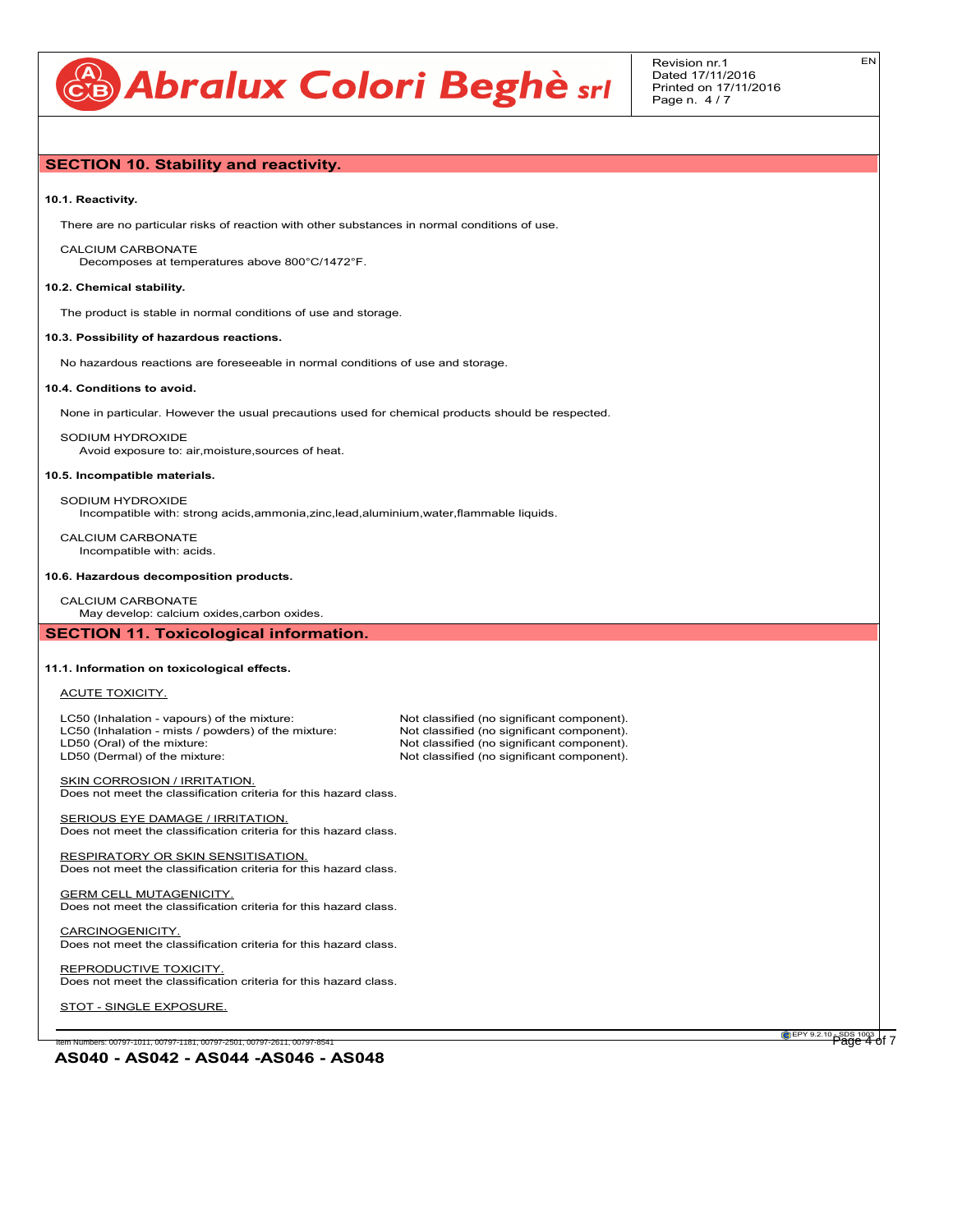# **CB** Abralux Colori Beghè srl

EN

# **SECTION 10. Stability and reactivity.**

#### **10.1. Reactivity.**

There are no particular risks of reaction with other substances in normal conditions of use.

## CALCIUM CARBONATE

Decomposes at temperatures above 800°C/1472°F.

#### **10.2. Chemical stability.**

The product is stable in normal conditions of use and storage.

#### **10.3. Possibility of hazardous reactions.**

No hazardous reactions are foreseeable in normal conditions of use and storage.

#### **10.4. Conditions to avoid.**

None in particular. However the usual precautions used for chemical products should be respected.

SODIUM HYDROXIDE Avoid exposure to: air,moisture,sources of heat.

#### **10.5. Incompatible materials.**

SODIUM HYDROXIDE Incompatible with: strong acids,ammonia,zinc,lead,aluminium,water,flammable liquids.

CALCIUM CARBONATE Incompatible with: acids.

#### **10.6. Hazardous decomposition products.**

CALCIUM CARBONATE

May develop: calcium oxides,carbon oxides.

# **SECTION 11. Toxicological information.**

#### **11.1. Information on toxicological effects.**

#### ACUTE TOXICITY.

LC50 (Inhalation - vapours) of the mixture: Not classified (no significant component).<br>
LC50 (Inhalation - mists / powders) of the mixture: Not classified (no significant component). LC50 (Inhalation - mists / powders) of the mixture:<br>LD50 (Oral) of the mixture: LD50 (Oral) of the mixture: Not classified (no significant component).<br>
LD50 (Dermal) of the mixture: Not classified (no significant component).

Not classified (no significant component).

SKIN CORROSION / IRRITATION. Does not meet the classification criteria for this hazard class.

SERIOUS EYE DAMAGE / IRRITATION. Does not meet the classification criteria for this hazard class.

RESPIRATORY OR SKIN SENSITISATION. Does not meet the classification criteria for this hazard class.

**GERM CELL MUTAGENICITY.** Does not meet the classification criteria for this hazard class.

CARCINOGENICITY. Does not meet the classification criteria for this hazard class.

REPRODUCTIVE TOXICITY. Does not meet the classification criteria for this hazard class.

STOT - SINGLE EXPOSURE.

Item Numbers: 00797-1011, 00797-1181, 00797-2501, 00797-2611, 00797-854

**EPY 9.2.10** SDS 1003 of 7

**AS040 - AS042 - AS044 -AS046 - AS048**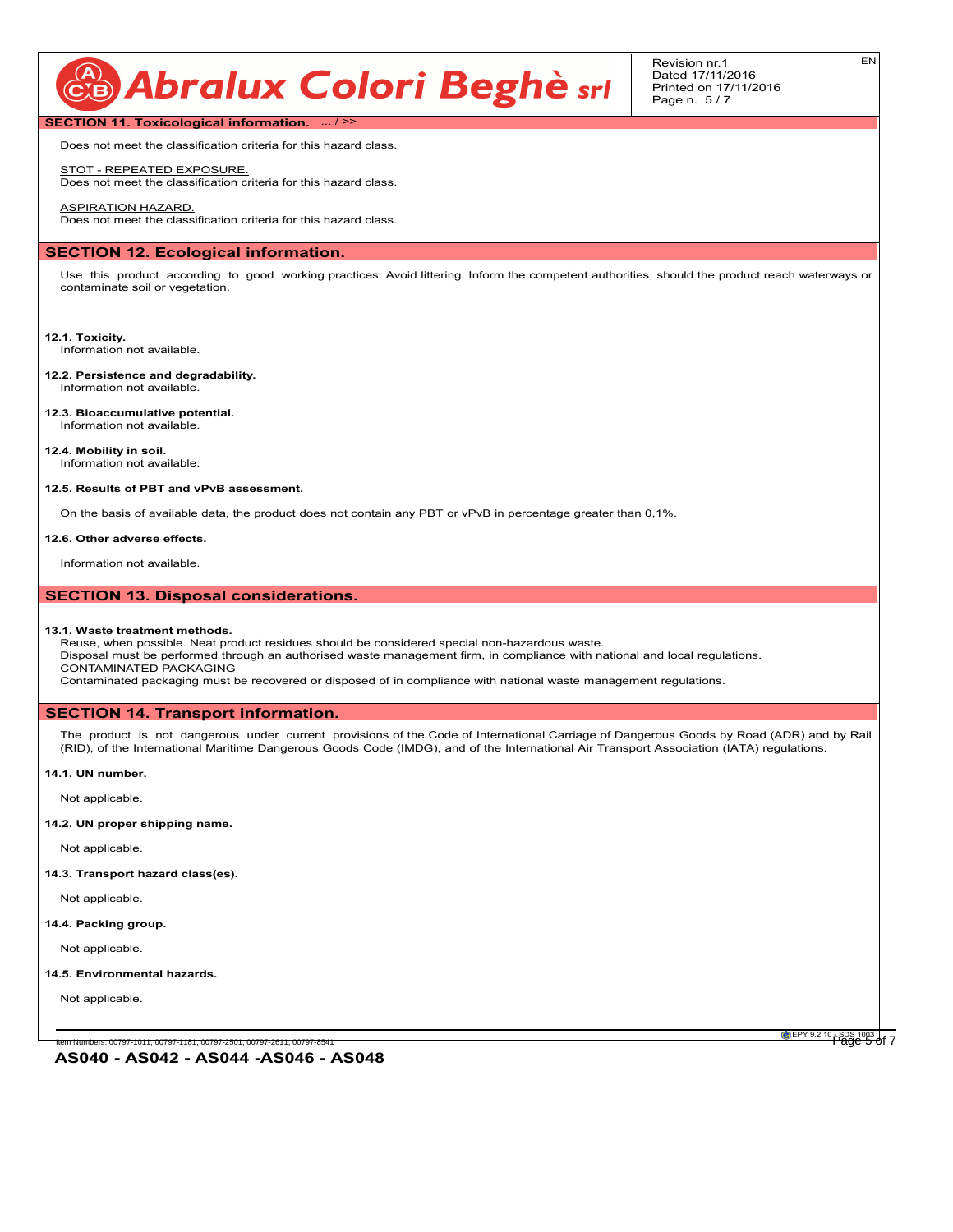# CB Abralux Colori Beghè srl

Revision nr.1 Dated 17/11/2016 Printed on 17/11/2016 Page n. 5 / 7

EN

## **SECTION 11. Toxicological information.** ... / >>

Does not meet the classification criteria for this hazard class.

## STOT - REPEATED EXPOSURE.

Does not meet the classification criteria for this hazard class.

ASPIRATION HAZARD. Does not meet the classification criteria for this hazard class.

### **SECTION 12. Ecological information.**

Use this product according to good working practices. Avoid littering. Inform the competent authorities, should the product reach waterways or contaminate soil or vegetation.

#### **12.1. Toxicity.**

Information not available.

- **12.2. Persistence and degradability.** Information not available.
- **12.3. Bioaccumulative potential.** Information not available.

**12.4. Mobility in soil.** Information not available.

#### **12.5. Results of PBT and vPvB assessment.**

On the basis of available data, the product does not contain any PBT or vPvB in percentage greater than 0,1%.

#### **12.6. Other adverse effects.**

Information not available.

# **SECTION 13. Disposal considerations.**

#### **13.1. Waste treatment methods.**

Reuse, when possible. Neat product residues should be considered special non-hazardous waste. Disposal must be performed through an authorised waste management firm, in compliance with national and local regulations. CONTAMINATED PACKAGING

Contaminated packaging must be recovered or disposed of in compliance with national waste management regulations.

#### **SECTION 14. Transport information.**

The product is not dangerous under current provisions of the Code of International Carriage of Dangerous Goods by Road (ADR) and by Rail (RID), of the International Maritime Dangerous Goods Code (IMDG), and of the International Air Transport Association (IATA) regulations.

## **14.1. UN number.**

Not applicable.

**14.2. UN proper shipping name.**

Not applicable.

**14.3. Transport hazard class(es).**

Not applicable.

#### **14.4. Packing group.**

Not applicable.

#### **14.5. Environmental hazards.**

Not applicable.

tem Numbers: 00797-1011, 00797-1181, 00797-2501, 00797-2611, 00797-8541

**EPY 9.2.10** SDS 1003 of 7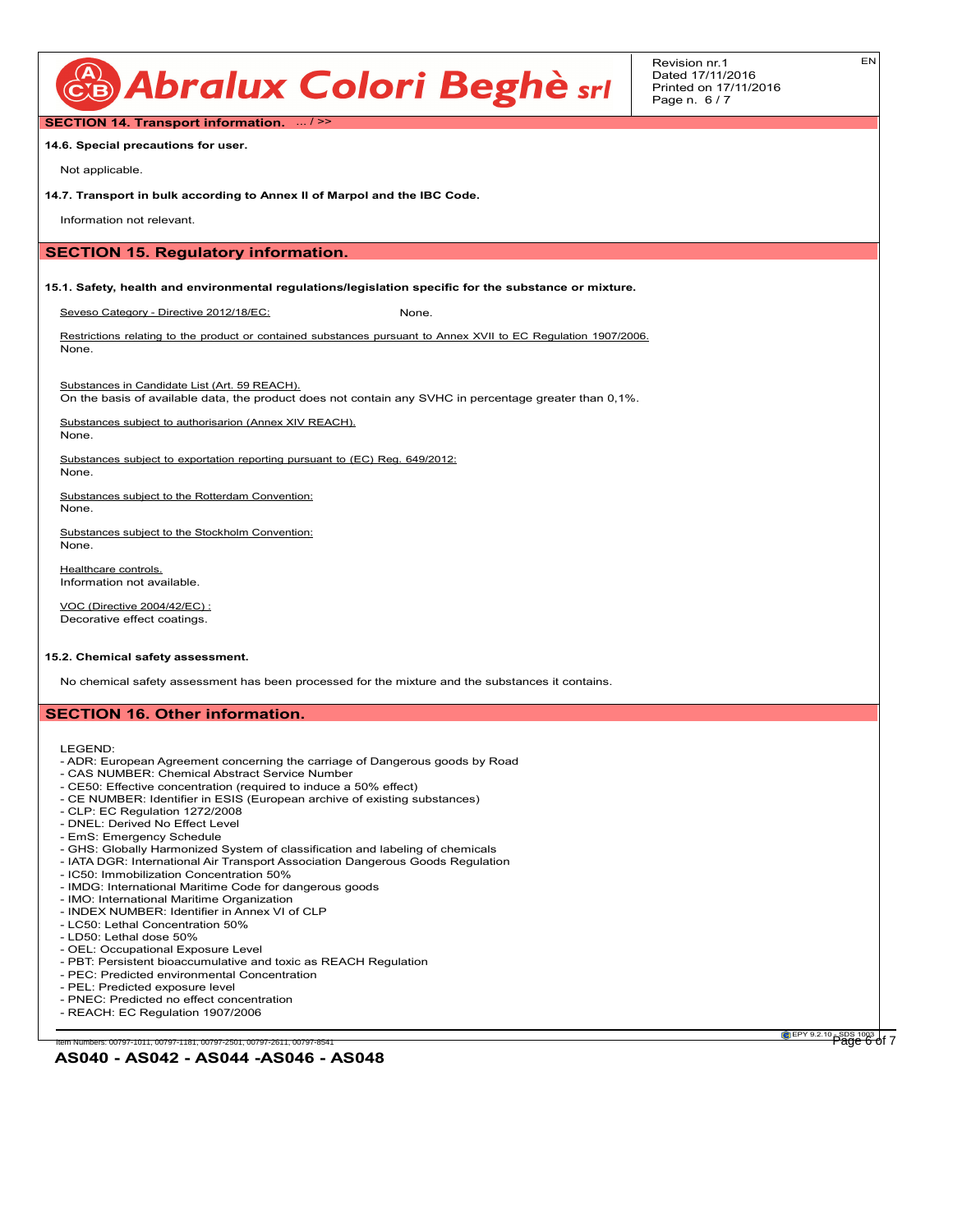

Revision nr.1 Dated 17/11/2016 Printed on 17/11/2016 Page n. 6 / 7

EN

**SECTION 14. Transport information.** ... / >>

**14.6. Special precautions for user.**

Not applicable.

**14.7. Transport in bulk according to Annex II of Marpol and the IBC Code.**

Information not relevant.

# **SECTION 15. Regulatory information.**

**15.1. Safety, health and environmental regulations/legislation specific for the substance or mixture.**

Seveso Category - Directive 2012/18/EC: None.

Restrictions relating to the product or contained substances pursuant to Annex XVII to EC Regulation 1907/2006. None.

Substances in Candidate List (Art. 59 REACH).

On the basis of available data, the product does not contain any SVHC in percentage greater than 0,1%.

Substances subject to authorisarion (Annex XIV REACH). None.

Substances subject to exportation reporting pursuant to (EC) Reg. 649/2012: None.

Substances subject to the Rotterdam Convention: None.

Substances subject to the Stockholm Convention: None.

Healthcare controls. Information not available.

VOC (Directive 2004/42/EC) : Decorative effect coatings.

#### **15.2. Chemical safety assessment.**

No chemical safety assessment has been processed for the mixture and the substances it contains.

## **SECTION 16. Other information.**

LEGEND:

- ADR: European Agreement concerning the carriage of Dangerous goods by Road
- CAS NUMBER: Chemical Abstract Service Number
- CE50: Effective concentration (required to induce a 50% effect)
- CE NUMBER: Identifier in ESIS (European archive of existing substances)
- CLP: EC Regulation 1272/2008
- DNEL: Derived No Effect Level
- EmS: Emergency Schedule
- GHS: Globally Harmonized System of classification and labeling of chemicals
- IATA DGR: International Air Transport Association Dangerous Goods Regulation
- IC50: Immobilization Concentration 50%
- IMDG: International Maritime Code for dangerous goods
- IMO: International Maritime Organization
- INDEX NUMBER: Identifier in Annex VI of CLP
- LC50: Lethal Concentration 50%
- LD50: Lethal dose 50%
- OEL: Occupational Exposure Level
- PBT: Persistent bioaccumulative and toxic as REACH Regulation
- PEC: Predicted environmental Concentration
- PEL: Predicted exposure level
- PNEC: Predicted no effect concentration
- REACH: EC Regulation 1907/2006

iem Numbers: 00797-1011, 00797-1181, 00797-2501, 00797-2611, 00797-854

**AS040 - AS042 - AS044 -AS046 - AS048**